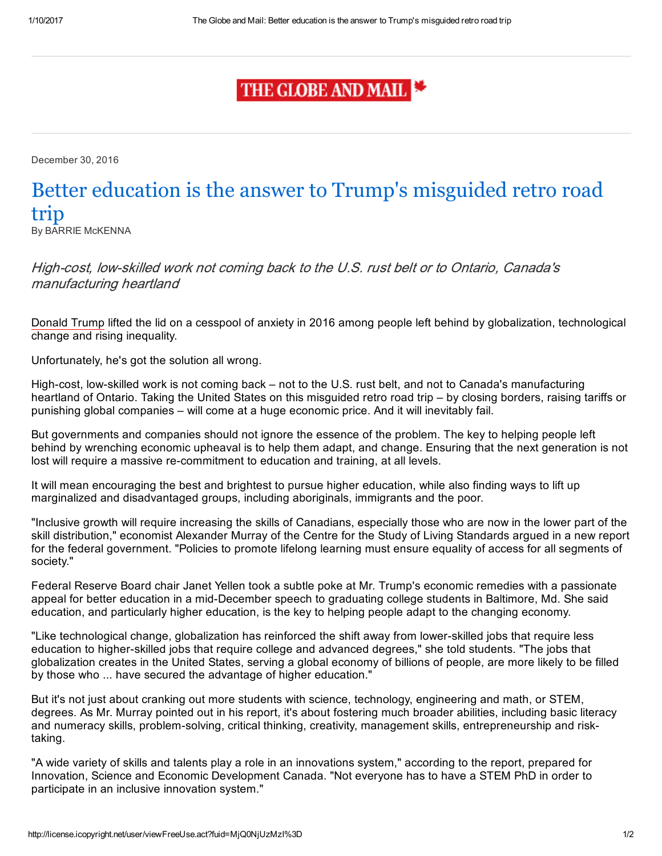## THE GLOBE AND MAIL

December 30, 2016

## Better education is the answer to Trump's misguided retro road trip

By BARRIE McKENNA

High-cost, low-skilled work not coming back to the U.S. rust belt or to Ontario, Canada's manufacturing heartland

Donald Trump lifted the lid on a cesspool of anxiety in 2016 among people left behind by globalization, technological change and rising inequality.

Unfortunately, he's got the solution all wrong.

High-cost, low-skilled work is not coming back – not to the U.S. rust belt, and not to Canada's manufacturing heartland of Ontario. Taking the United States on this misguided retro road trip – by closing borders, raising tariffs or punishing global companies – will come at a huge economic price. And it will inevitably fail.

But governments and companies should not ignore the essence of the problem. The key to helping people left behind by wrenching economic upheaval is to help them adapt, and change. Ensuring that the next generation is not lost will require a massive re-commitment to education and training, at all levels.

It will mean encouraging the best and brightest to pursue higher education, while also finding ways to lift up marginalized and disadvantaged groups, including aboriginals, immigrants and the poor.

"Inclusive growth will require increasing the skills of Canadians, especially those who are now in the lower part of the skill distribution," economist Alexander Murray of the Centre for the Study of Living Standards argued in a new report for the federal government. "Policies to promote lifelong learning must ensure equality of access for all segments of society."

Federal Reserve Board chair Janet Yellen took a subtle poke at Mr. Trump's economic remedies with a passionate appeal for better education in a mid-December speech to graduating college students in Baltimore, Md. She said education, and particularly higher education, is the key to helping people adapt to the changing economy.

"Like technological change, globalization has reinforced the shift away from lower-skilled jobs that require less education to higher-skilled jobs that require college and advanced degrees," she told students. "The jobs that globalization creates in the United States, serving a global economy of billions of people, are more likely to be filled by those who ... have secured the advantage of higher education."

But it's not just about cranking out more students with science, technology, engineering and math, or STEM, degrees. As Mr. Murray pointed out in his report, it's about fostering much broader abilities, including basic literacy and numeracy skills, problem-solving, critical thinking, creativity, management skills, entrepreneurship and risktaking.

"A wide variety of skills and talents play a role in an innovations system," according to the report, prepared for Innovation, Science and Economic Development Canada. "Not everyone has to have a STEM PhD in order to participate in an inclusive innovation system."